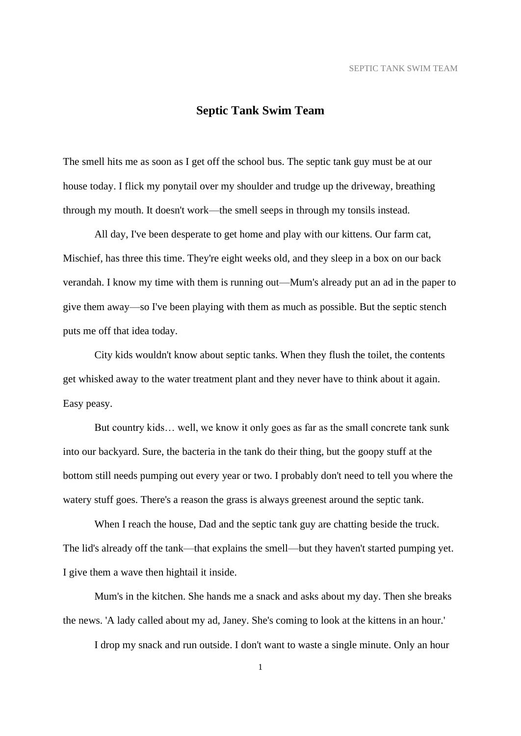## **Septic Tank Swim Team**

The smell hits me as soon as I get off the school bus. The septic tank guy must be at our house today. I flick my ponytail over my shoulder and trudge up the driveway, breathing through my mouth. It doesn't work—the smell seeps in through my tonsils instead.

All day, I've been desperate to get home and play with our kittens. Our farm cat, Mischief, has three this time. They're eight weeks old, and they sleep in a box on our back verandah. I know my time with them is running out—Mum's already put an ad in the paper to give them away—so I've been playing with them as much as possible. But the septic stench puts me off that idea today.

City kids wouldn't know about septic tanks. When they flush the toilet, the contents get whisked away to the water treatment plant and they never have to think about it again. Easy peasy.

But country kids… well, we know it only goes as far as the small concrete tank sunk into our backyard. Sure, the bacteria in the tank do their thing, but the goopy stuff at the bottom still needs pumping out every year or two. I probably don't need to tell you where the watery stuff goes. There's a reason the grass is always greenest around the septic tank.

When I reach the house, Dad and the septic tank guy are chatting beside the truck. The lid's already off the tank—that explains the smell—but they haven't started pumping yet. I give them a wave then hightail it inside.

Mum's in the kitchen. She hands me a snack and asks about my day. Then she breaks the news. 'A lady called about my ad, Janey. She's coming to look at the kittens in an hour.'

I drop my snack and run outside. I don't want to waste a single minute. Only an hour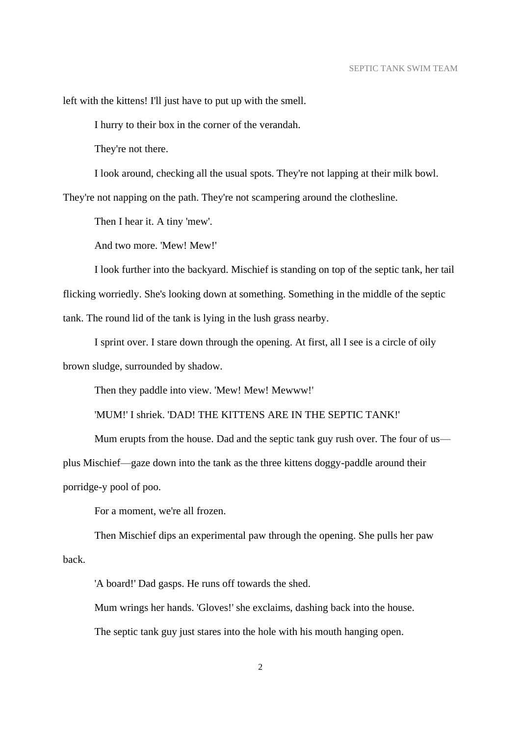left with the kittens! I'll just have to put up with the smell.

I hurry to their box in the corner of the verandah.

They're not there.

I look around, checking all the usual spots. They're not lapping at their milk bowl. They're not napping on the path. They're not scampering around the clothesline.

Then I hear it. A tiny 'mew'.

And two more. 'Mew! Mew!'

I look further into the backyard. Mischief is standing on top of the septic tank, her tail flicking worriedly. She's looking down at something. Something in the middle of the septic tank. The round lid of the tank is lying in the lush grass nearby.

I sprint over. I stare down through the opening. At first, all I see is a circle of oily brown sludge, surrounded by shadow.

Then they paddle into view. 'Mew! Mew! Mewww!'

'MUM!' I shriek. 'DAD! THE KITTENS ARE IN THE SEPTIC TANK!'

Mum erupts from the house. Dad and the septic tank guy rush over. The four of us plus Mischief—gaze down into the tank as the three kittens doggy-paddle around their porridge-y pool of poo.

For a moment, we're all frozen.

Then Mischief dips an experimental paw through the opening. She pulls her paw back.

'A board!' Dad gasps. He runs off towards the shed.

Mum wrings her hands. 'Gloves!' she exclaims, dashing back into the house.

The septic tank guy just stares into the hole with his mouth hanging open.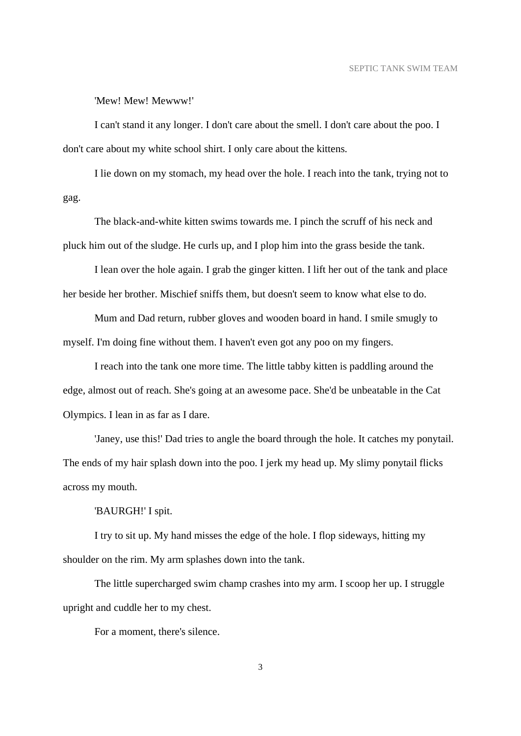'Mew! Mew! Mewww!'

I can't stand it any longer. I don't care about the smell. I don't care about the poo. I don't care about my white school shirt. I only care about the kittens.

I lie down on my stomach, my head over the hole. I reach into the tank, trying not to gag.

The black-and-white kitten swims towards me. I pinch the scruff of his neck and pluck him out of the sludge. He curls up, and I plop him into the grass beside the tank.

I lean over the hole again. I grab the ginger kitten. I lift her out of the tank and place her beside her brother. Mischief sniffs them, but doesn't seem to know what else to do.

Mum and Dad return, rubber gloves and wooden board in hand. I smile smugly to myself. I'm doing fine without them. I haven't even got any poo on my fingers.

I reach into the tank one more time. The little tabby kitten is paddling around the edge, almost out of reach. She's going at an awesome pace. She'd be unbeatable in the Cat Olympics. I lean in as far as I dare.

'Janey, use this!' Dad tries to angle the board through the hole. It catches my ponytail. The ends of my hair splash down into the poo. I jerk my head up. My slimy ponytail flicks across my mouth.

'BAURGH!' I spit.

I try to sit up. My hand misses the edge of the hole. I flop sideways, hitting my shoulder on the rim. My arm splashes down into the tank.

The little supercharged swim champ crashes into my arm. I scoop her up. I struggle upright and cuddle her to my chest.

For a moment, there's silence.